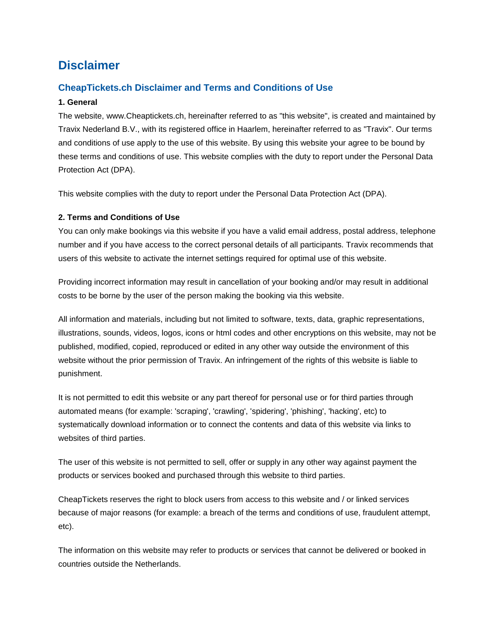# **Disclaimer**

## **CheapTickets.ch Disclaimer and Terms and Conditions of Use**

#### **1. General**

The website, www.Cheaptickets.ch, hereinafter referred to as "this website", is created and maintained by Travix Nederland B.V., with its registered office in Haarlem, hereinafter referred to as "Travix". Our terms and conditions of use apply to the use of this website. By using this website your agree to be bound by these terms and conditions of use. This website complies with the duty to report under the Personal Data Protection Act (DPA).

This website complies with the duty to report under the Personal Data Protection Act (DPA).

### **2. Terms and Conditions of Use**

You can only make bookings via this website if you have a valid email address, postal address, telephone number and if you have access to the correct personal details of all participants. Travix recommends that users of this website to activate the internet settings required for optimal use of this website.

Providing incorrect information may result in cancellation of your booking and/or may result in additional costs to be borne by the user of the person making the booking via this website.

All information and materials, including but not limited to software, texts, data, graphic representations, illustrations, sounds, videos, logos, icons or html codes and other encryptions on this website, may not be published, modified, copied, reproduced or edited in any other way outside the environment of this website without the prior permission of Travix. An infringement of the rights of this website is liable to punishment.

It is not permitted to edit this website or any part thereof for personal use or for third parties through automated means (for example: 'scraping', 'crawling', 'spidering', 'phishing', 'hacking', etc) to systematically download information or to connect the contents and data of this website via links to websites of third parties.

The user of this website is not permitted to sell, offer or supply in any other way against payment the products or services booked and purchased through this website to third parties.

CheapTickets reserves the right to block users from access to this website and / or linked services because of major reasons (for example: a breach of the terms and conditions of use, fraudulent attempt, etc).

The information on this website may refer to products or services that cannot be delivered or booked in countries outside the Netherlands.